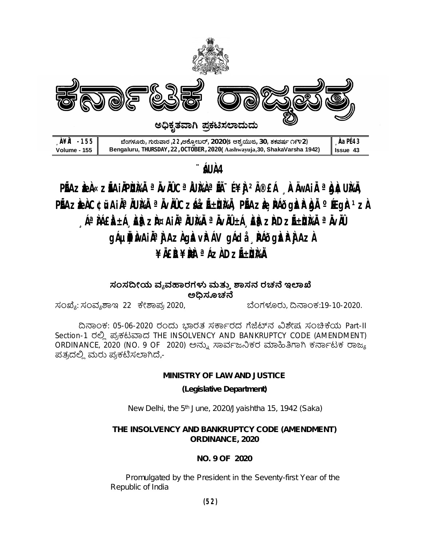

**¨ sÁUÀ 4**

# **PẾAzÀæÀ«zẾAiÄPÀ)ÀÄ ªĂvĂÛCªÅUÀÀªÄïÉ¥À ºÃ®£Á ¸À«ÄwAiÄ ªÀgÀ¢UÀ¼À, PÉAzÀC¢üAIÀªÀUMÀ ªÀvÀÛCzáæÃ±ÙMÀ, PÉAzÀ, RÁðgìzi?ÀÀ °Ægì^1zÀ ¸ÁªÀiÁ£Àå ±Á¸À£À§zÀÞ ¤AiÀĪÀÄU À¼ÀÄ ªÀÄvÀÄÛ ±Á¸À£À§zÀÞ DzÉñÀU À¼ÀÄ ªÀÄvÀÄÛ gÁµÈÀVAIÀª) AzÀgÀvÈÁV gÁdå ¸ÈÁðgÌZÈ} AzÀ ¥ÀÄ£ÀB ¥ ÀæPÀlªÁzÀ DzÉñ ÀUÀ¼ÀÄ**

# $\vec{a}$ ಸಂಸದೀಯ ವ್ಯವಹಾರಗಳು ಮತ್ತು ಶಾಸನ ರಚನೆ ಇಲಾಖೆ **ಅඌಚච**

ಸಂಖ್ಯೆ: ಸಂವ್ಯಶಾಇ 22 ಕೇಶಾಪ್ರ 2020, ರಾಜನಾ ಬೆಂಗಳೂರು, ದಿನಾಂಕ:19-10-2020.

ದಿನಾಂಕ: 05-06-2020 ರಂದು ಭಾರತ ಸರ್ಕಾರದ ಗೆಜೆಟ್ನ ವಿಶೇಷ ಸಂಚಿಕೆಯ Part-II Section-1 ರಲ್ಲಿ ಪ್ರಕಟವಾದ THE INSOLVENCY AND BANKRUPTCY CODE (AMENDMENT) ORDINANCE, 2020 (NO. 9 OF 2020) ಅನ್ನು ಸಾರ್ವಜನಿಕರ ಮಾಹಿತಿಗಾಗಿ ಕರ್ನಾಟಕ ರಾಜ್ಯ ಪತ್ರದಲ್ಲಿ ಮರು ಪ್ರಕಟಿಸಲಾಗಿದೆ,-

### **MINISTRY OF LAW AND JUSTICE**

### **(Legislative Department)**

New Delhi, the 5th June, 2020/Jyaishtha 15, 1942 (Saka)

# **THE INSOLVENCY AND BANKRUPTCY CODE (AMENDMENT) ORDINANCE, 2020**

### **NO. 9 OF 2020**

 Promulgated by the President in the Seventy-first Year of the Republic of India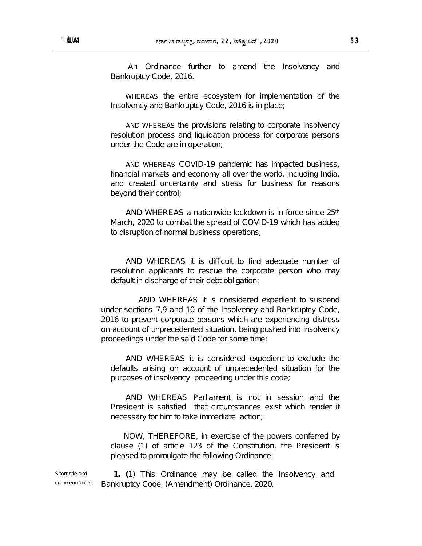An Ordinance further to amend the Insolvency and Bankruptcy Code, 2016.

 WHEREAS the entire ecosystem for implementation of the Insolvency and Bankruptcy Code, 2016 is in place;

 AND WHEREAS the provisions relating to corporate insolvency resolution process and liquidation process for corporate persons under the Code are in operation;

 AND WHEREAS COVID-19 pandemic has impacted business, financial markets and economy all over the world, including India, and created uncertainty and stress for business for reasons beyond their control;

 AND WHEREAS a nationwide lockdown is in force since 25th March, 2020 to combat the spread of COVID-19 which has added to disruption of normal business operations;

 AND WHEREAS it is difficult to find adequate number of resolution applicants to rescue the corporate person who may default in discharge of their debt obligation;

 AND WHEREAS it is considered expedient to suspend under sections 7,9 and 10 of the Insolvency and Bankruptcy Code, 2016 to prevent corporate persons which are experiencing distress on account of unprecedented situation, being pushed into insolvency proceedings under the said Code for some time;

 AND WHEREAS it is considered expedient to exclude the defaults arising on account of unprecedented situation for the purposes of insolvency proceeding under this code;

 AND WHEREAS Parliament is not in session and the President is satisfied that circumstances exist which render it necessary for him to take immediate action;

 NOW, THEREFORE, in exercise of the powers conferred by clause (1) of article 123 of the Constitution, the President is pleased to promulgate the following Ordinance:-

Short title and commencement. **1. (**1) This Ordinance may be called the Insolvency and Bankruptcy Code, (Amendment) Ordinance, 2020.